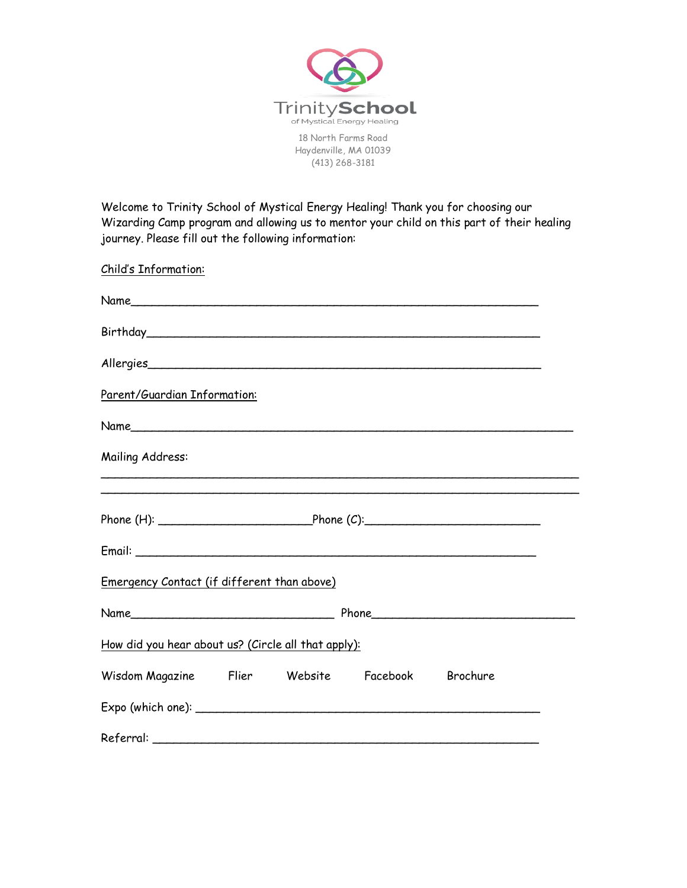

18 North Farms Road Haydenville, MA 01039 (413) 268-3181

Welcome to Trinity School of Mystical Energy Healing! Thank you for choosing our Wizarding Camp program and allowing us to mentor your child on this part of their healing journey. Please fill out the following information:

Child's Information:

| Parent/Guardian Information:                        |  |                                                                                  |  |
|-----------------------------------------------------|--|----------------------------------------------------------------------------------|--|
|                                                     |  |                                                                                  |  |
| Mailing Address:                                    |  | ,我们也不能在这里的时候,我们也不能在这里的时候,我们也不能会在这里的时候,我们也不能会在这里的时候,我们也不能会在这里的时候,我们也不能会在这里的时候,我们也 |  |
|                                                     |  |                                                                                  |  |
|                                                     |  |                                                                                  |  |
|                                                     |  |                                                                                  |  |
| Emergency Contact (if different than above)         |  |                                                                                  |  |
|                                                     |  |                                                                                  |  |
| How did you hear about us? (Circle all that apply): |  |                                                                                  |  |
| Wisdom Magazine Flier Website Facebook Brochure     |  |                                                                                  |  |
|                                                     |  |                                                                                  |  |
|                                                     |  |                                                                                  |  |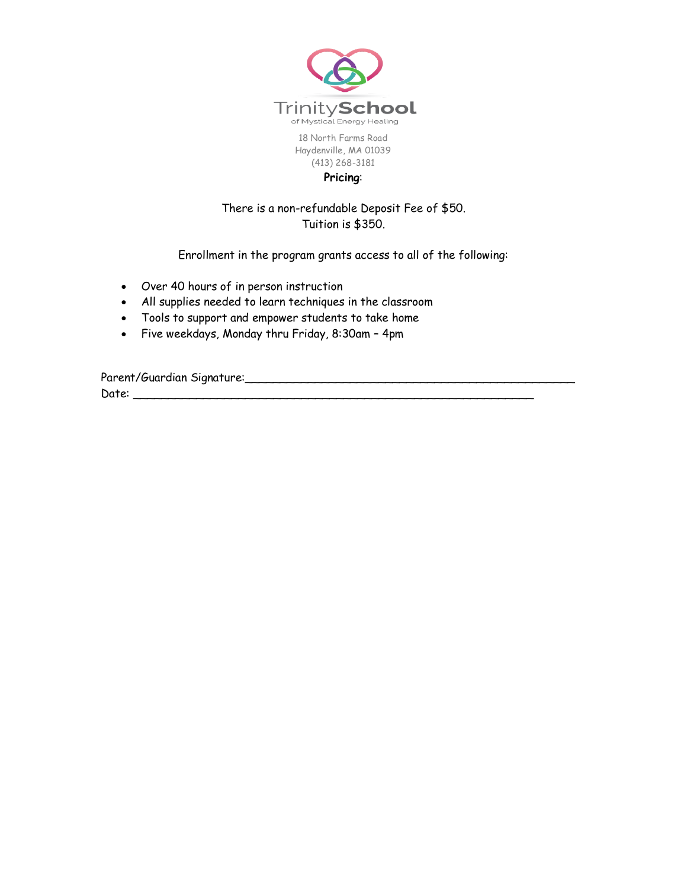

18 North Farms Road Haydenville, MA 01039 (413) 268-3181 **Pricing**:

## There is a non-refundable Deposit Fee of \$50. Tuition is \$350.

Enrollment in the program grants access to all of the following:

- Over 40 hours of in person instruction
- All supplies needed to learn techniques in the classroom
- Tools to support and empower students to take home
- Five weekdays, Monday thru Friday, 8:30am 4pm

Parent/Guardian Signature:\_\_\_\_\_\_\_\_\_\_\_\_\_\_\_\_\_\_\_\_\_\_\_\_\_\_\_\_\_\_\_\_\_\_\_\_\_\_\_\_\_\_\_\_\_\_\_ Date: \_\_\_\_\_\_\_\_\_\_\_\_\_\_\_\_\_\_\_\_\_\_\_\_\_\_\_\_\_\_\_\_\_\_\_\_\_\_\_\_\_\_\_\_\_\_\_\_\_\_\_\_\_\_\_\_\_